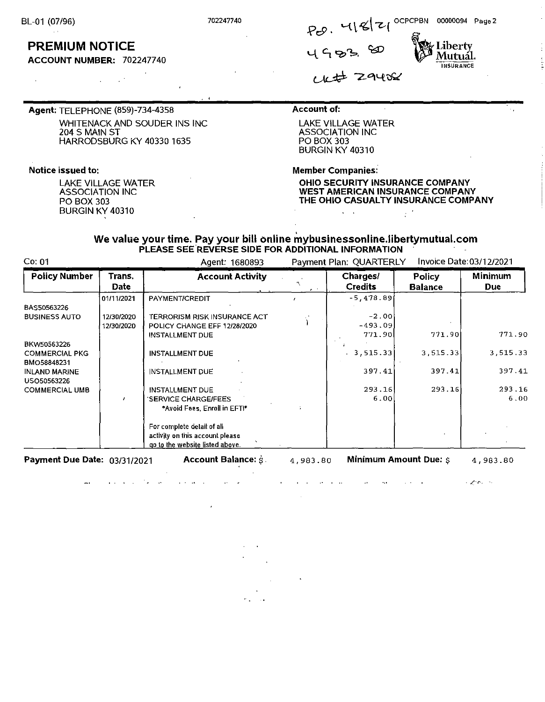# **PREMIUM NOTICE**

**ACCOUNT NUMBER:** 702247740

**Agent:** TELEPHONE (859)-734-4358 WHITENACK AND SOUDER INS INC 204 S MAIN ST HARRODSBURG KY 40330 1635

### **Notice issued to:**

LAKE VILLAGE WATER ASSOCIATION INC PO BOX 303 BURGIN KY 40310

### **Account of:**

LAKE VILLAGE WATER ASSOCIATION INC PO BOX 303 BURGIN KY 40310

<sup>702247740</sup>'-{ \ **~\--Z..-(** OCPCPBN 00000094 Page 2

**Member Companies:** 

**OHIO SECURITY INSURANCE COMPANY WEST AMERICAN INSURANCE COMPANY THE OHIO CASUALTY INSURANCE COMPANY** 

### **We value your time. Pay your bill online mybusinessonline.libertymutual.com PLEASE SEE REVERSE SIDE FOR ADDITIONAL INFORMATION**

Co: 01 Agent· 1680893 Payment Plan· QUARTERLY Invoice Date:03/12/2021 **Policy Number Trans. Account Activity Charges/ Policy Minimum Account Activity Charges/ Policy Minimum** Parties and the credits Balance Due 01/11/2021 PAYMENT/CREDIT , **-5,478.89 BAS50563226<br>BUSINESS AUTO**  $BZ$  12/30/2020 TERRORISM RISK INSURANCE ACT  $\begin{bmatrix} 2 & -2 & 0 & 0 \\ 0 & 0 & 0 & 0 \\ 0 & 0 & 0 & 0 \\ 0 & 0 & 0 & 0 \end{bmatrix}$   $\begin{bmatrix} -2 & 0 & 0 & 0 \\ 0 & 0 & 0 & 0 \\ 0 & 0 & 0 & 0 \\ 0 & 0 & 0 & 0 \end{bmatrix}$ 12/30/2020 POLICY CHANGE EFF 12/26/2020 ) -493.09 INSTALLMENT DUE 771. 90 771.90 771. 9 BKW50563226 **, we have a set of the contract of the contract of the contract of the contract of the contract of the contract of the contract of the contract of the contract of the contract of the contract of the contract o**  $\vert$ 771.90 COMMERCIAL PKG INSTALLMENT DUE **3,515.33** 3,515.33 **3,515.33**  BMO56646231 INLAND MARINE | INSTALLMENT DUE USO50563226 COMMERCIAL UMB | INSTALLMENT DUE<br>SERVICE CHARGE/FEES **\*Avoid Fees, Enroll in EFTt"' For complete detail of all activity on this account please ao to the website listed above.**  397.41 397.41 293.16 293.16 6.00 ' 397 .4 1 293.16  $6.00$ 

**Payment Due Date: 03/31/2021 Account Balance:**  $\dot{s}$ **.** 

and the con-

**Contract Contract** 

4,983.80 **Minimum Amount Due:** \$

 $\rightarrow$ 

 $\sim$ 

**Contract Contract** 

**Contractor** 

4,983.80

Company of

20. <sup>4181</sup> (<br>4453. 80 Mutual. **INSURANCE**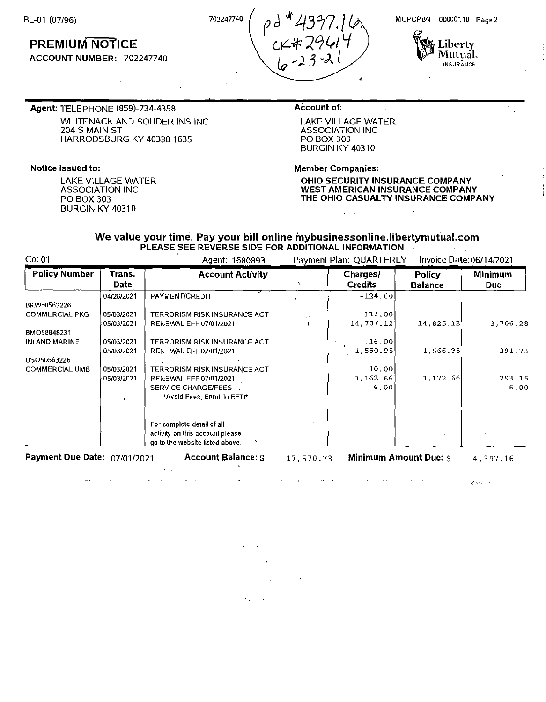BL-01 (07/96)

## **PREMIUM NOTICE**

**ACCOUNT NUMBER:** 702247740

MCPCPBN 00000118 Page 2



**Agent:** TELEPHONE (859)-734-4358 WHITENACK AND SOUDER INS INC 2045 MAIN ST HARRODSBURG KY 40330 1635

### **Notice issued to:**

LAKE VILLAGE WATER ASSOCIATION INC PO BOX 303 BURGIN KY 40310

### **Account of:**

c.,1c..-!f ?.9~/ *'-f (<sub>o</sub> -23.J.* 

> LAKE VILLAGE WATER ASSOCIATION INC PO BOX 303 BURGIN KY 40310

> > $\omega_{\rm{max}}$

•

**Member Companies:** 

**OHIO SECURITY INSURANCE COMPANY WEST AMERICAN INSURANCE COMPANY THE OHIO CASUALTY INSURANCE COMPANY** 

 $\mathbb{R}^{d}$ 

#### We value your time. Pay your bill online mybusinessonline.libertymutual.com PLEASE SEE REVERSE SIDE FOR ADDITIONAL INFORMATION  $\sim$   $^{-1}$

 $702247740$   $\rho$  d  $44397.$ 

Co: 01 Agent: 1680893 Payment Plan: QUARTERLY Invoice Date: 06/14/2021

| <b>Policy Number</b>  | Trans.<br>Date | <b>Account Activity</b>             | Charges/<br><b>Credits</b> | Policy<br><b>Balance</b> | <b>Minimum</b><br>Due: |
|-----------------------|----------------|-------------------------------------|----------------------------|--------------------------|------------------------|
|                       | 04/28/2021     | PAYMENT/CREDIT                      | $-124.60$                  |                          |                        |
| BKW50563226           |                |                                     |                            |                          |                        |
| <b>COMMERCIAL PKG</b> | 05/03/2021     | <b>TERRORISM RISK INSURANCE ACT</b> | 118.00                     |                          |                        |
|                       | 05/03/2021     | RENEWAL EFF 07/01/2021              | 14,707.12                  | 14,825.12                | 3,706.28               |
| BMO58848231           |                |                                     |                            |                          |                        |
| <b>INLAND MARINE</b>  | 05/03/2021     | TERRORISM RISK INSURANCE ACT        | .16.00                     |                          |                        |
|                       | 05/03/2021     | <b>RENEWAL EFF 07/01/2021</b>       | 1,550.95                   | 1,566.95                 | 391.73                 |
| USO50563226           |                |                                     |                            |                          |                        |
| <b>COMMERCIAL UMB</b> | 05/03/2021     | <b>TERRORISM RISK INSURANCE ACT</b> | 10.00                      |                          |                        |
|                       | 05/03/2021     | <b>RENEWAL EFF 07/01/2021</b>       | 1, 162, 66                 | 1,172.66                 | 293.15                 |
|                       |                | <b>SERVICE CHARGE/FEES</b>          | 6.00                       |                          | 6.00                   |
|                       |                | *Avoid Fees, Enroll in EFT!*        |                            |                          |                        |
|                       |                |                                     |                            |                          |                        |
|                       |                | For complete detail of all          |                            |                          |                        |
|                       |                | activity on this account please     |                            |                          |                        |
|                       |                | go to the website listed above.     |                            |                          |                        |

**Payment Due Date: 07/01/2021 •• Account Balance:**  $\frac{1}{5}$  **17,570.73 Minimum Amount Due:**  $\frac{1}{5}$  **4,397.16** 

 $\mathcal{L}^{\text{max}}$ 

 $\Delta\phi = 1.0$  and

 $\mathcal{L}^{\text{max}}$ 

**All Cardinal** 

**Service**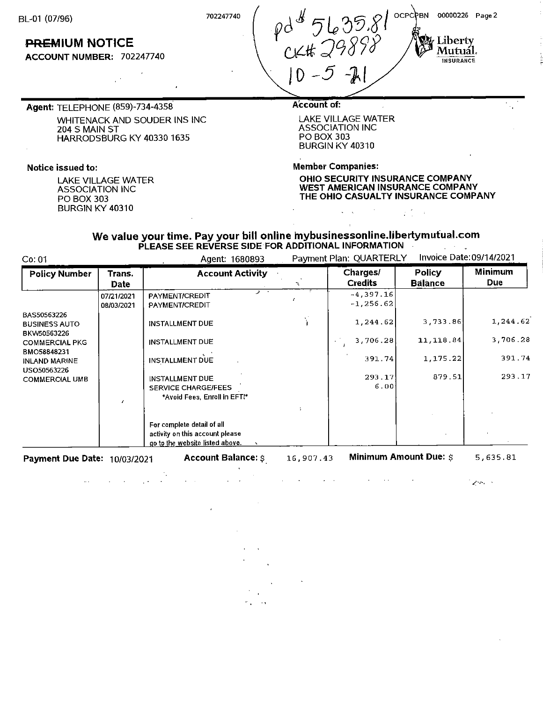BL-01 (07/96)

OCPCPBN 00000226 Page 2

Liberty<sub>.</sub> **Mutual.**  INSURANCE

**PREMIUM NOTICE** 

**ACCOUNT NUMBER:** 702247740

<sup>702247740</sup> | pd<sup>\$</sup> 5635.81 CK# 29898  $10 - 5 -11$ 

**Agent:** TELEPHONE (859)-734-4358. WHITENACK AND SOUDER INS INC 204 S MAIN ST HARRODSBURG KY 40330 1635

### **Notice issued to:**

LAKE VILLAGE WATER ASSOCIATION INC PO BOX 303 BURGIN KY 40310

### **Account of:**

LAKE VILLAGE WATER ASSOCIATION INC PO BOX 303 BURGIN KY 40310

 $\zeta = \zeta$ 

**Member Companies:** 

**OHIO SECURITY INSURANCE COMPANY WEST AMERICAN INSURANCE COMPANY THE OHIO CASUALTY INSURANCE COMPANY** 

 $\mathcal{L}^{\text{max}}_{\text{max}}$ 

 $\mathcal{A}$ 

#### We value your time. Pay your bill online mybusinessonline.libertymutual.com PLEASE SEE REVERSE SIDE FOR ADDITIONAL INFORMATION  $\mathcal{A}=\mathcal{A}$

Co: 01 Agent: 1680893 Payment Plan: QUARTERLY Invoice Date: 09/14/2021

 $\mathcal{L}^{\mathcal{L}}$  .

| <b>Policy Number</b>                 | Trans.     | <b>Account Activity</b>         |  | Charges/       | <b>Policy</b>  | Minimum  |
|--------------------------------------|------------|---------------------------------|--|----------------|----------------|----------|
|                                      | Date       |                                 |  | <b>Credits</b> | <b>Balance</b> | Due      |
|                                      | 07/21/2021 | PAYMENT/CREDIT                  |  | $-4,397.16$    |                |          |
|                                      | 08/03/2021 | PAYMENT/CREDIT                  |  | $-1,256.62$    |                |          |
| BAS50563226                          |            |                                 |  |                |                |          |
| <b>BUSINESS AUTO</b>                 |            | <b>INSTALLMENT DUE</b>          |  | 1,244.62       | 3,733.86       | 1,244.62 |
| BKW50563226                          |            |                                 |  |                |                |          |
| <b>COMMERCIAL PKG</b>                |            | <b>INSTALLMENT DUE</b>          |  | 3,706.28       | 11,118.84      | 3,706.28 |
| BMO58848231                          |            |                                 |  | 391.74         | 1.175.22       | 391.74   |
| <b>INLAND MARINE</b>                 |            | <b>INSTALLMENT DUE</b>          |  |                |                |          |
| USO50563226<br><b>COMMERCIAL UMB</b> |            | INSTALLMENT DUE                 |  | 293.17         | 879.51         | 293.17   |
|                                      |            | <b>SERVICE CHARGE/FEES</b>      |  | 6.00           |                |          |
|                                      |            | *Avoid Fees, Enroll in EFT!*    |  |                |                |          |
|                                      |            |                                 |  |                |                |          |
|                                      |            |                                 |  |                |                |          |
|                                      |            | For complete detail of all      |  |                |                |          |
|                                      |            | activity on this account please |  |                |                |          |
|                                      |            | go to the website listed above. |  |                |                |          |

**Payment Due Date: 10/03/2021 •• Account Balance:**  $\beta$  **16,907.43 Minimum Amount Due:**  $\beta$  **5,635.81** 

 $\cdot$ 

 $Z^{\mu}$  is  $\lambda$  .